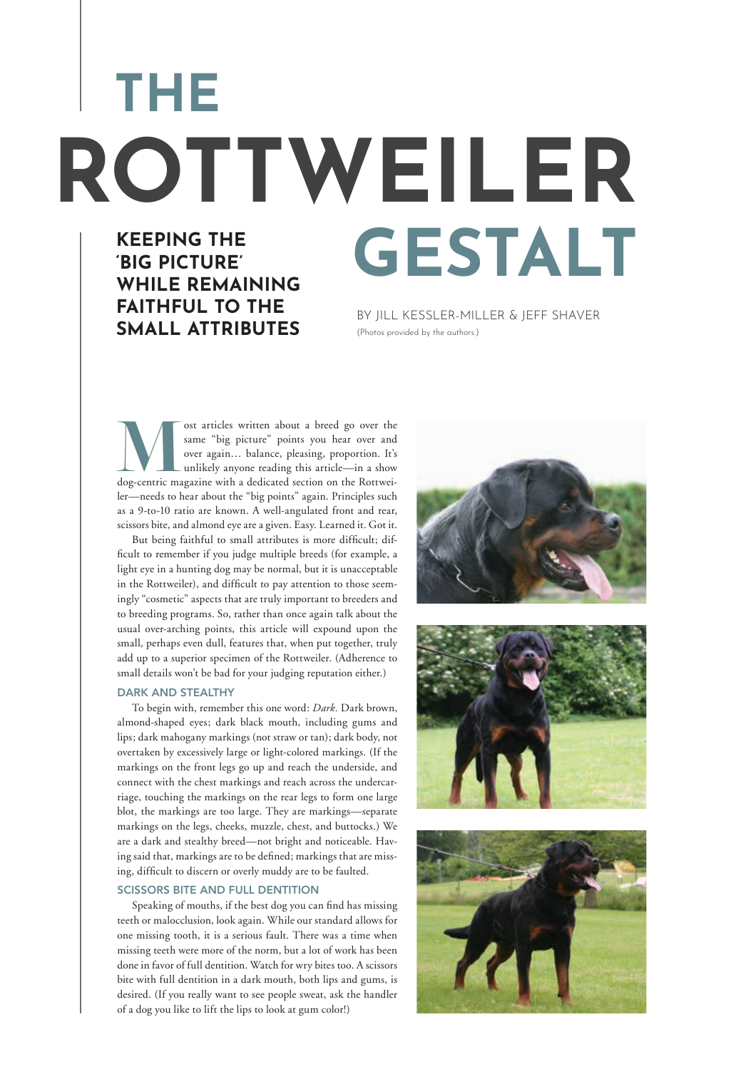**KEEPING THE** 

**THE**

**'BIG PICTURE'** 

**WHILE REMAINING FAITHFUL TO THE SMALL ATTRIBUTES**

# **GESTALT ROTTWEILER**

BY JILL KESSLER-MILLER & JEFF SHAVER (Photos provided by the authors.)

ost articles written about a breed go over the same "big picture" points you hear over and over again... balance, pleasing, proportion. It's unlikely anyone reading this article—in a show dog-centric magazine with a dedica same "big picture" points you hear over and over again… balance, pleasing, proportion. It's unlikely anyone reading this article—in a show ler—needs to hear about the "big points" again. Principles such as a 9-to-10 ratio are known. A well-angulated front and rear, scissors bite, and almond eye are a given. Easy. Learned it. Got it.

But being faithful to small attributes is more difficult; difficult to remember if you judge multiple breeds (for example, a light eye in a hunting dog may be normal, but it is unacceptable in the Rottweiler), and difficult to pay attention to those seemingly "cosmetic" aspects that are truly important to breeders and to breeding programs. So, rather than once again talk about the usual over-arching points, this article will expound upon the small, perhaps even dull, features that, when put together, truly add up to a superior specimen of the Rottweiler. (Adherence to small details won't be bad for your judging reputation either.)

#### DARK AND STEALTHY

To begin with, remember this one word: *Dark.* Dark brown, almond-shaped eyes; dark black mouth, including gums and lips; dark mahogany markings (not straw or tan); dark body, not overtaken by excessively large or light-colored markings. (If the markings on the front legs go up and reach the underside, and connect with the chest markings and reach across the undercarriage, touching the markings on the rear legs to form one large blot, the markings are too large. They are markings—separate markings on the legs, cheeks, muzzle, chest, and buttocks.) We are a dark and stealthy breed—not bright and noticeable. Having said that, markings are to be defined; markings that are missing, difficult to discern or overly muddy are to be faulted.

## SCISSORS BITE AND FULL DENTITION

Speaking of mouths, if the best dog you can find has missing teeth or malocclusion, look again. While our standard allows for one missing tooth, it is a serious fault. There was a time when missing teeth were more of the norm, but a lot of work has been done in favor of full dentition. Watch for wry bites too. A scissors bite with full dentition in a dark mouth, both lips and gums, is desired. (If you really want to see people sweat, ask the handler of a dog you like to lift the lips to look at gum color!)





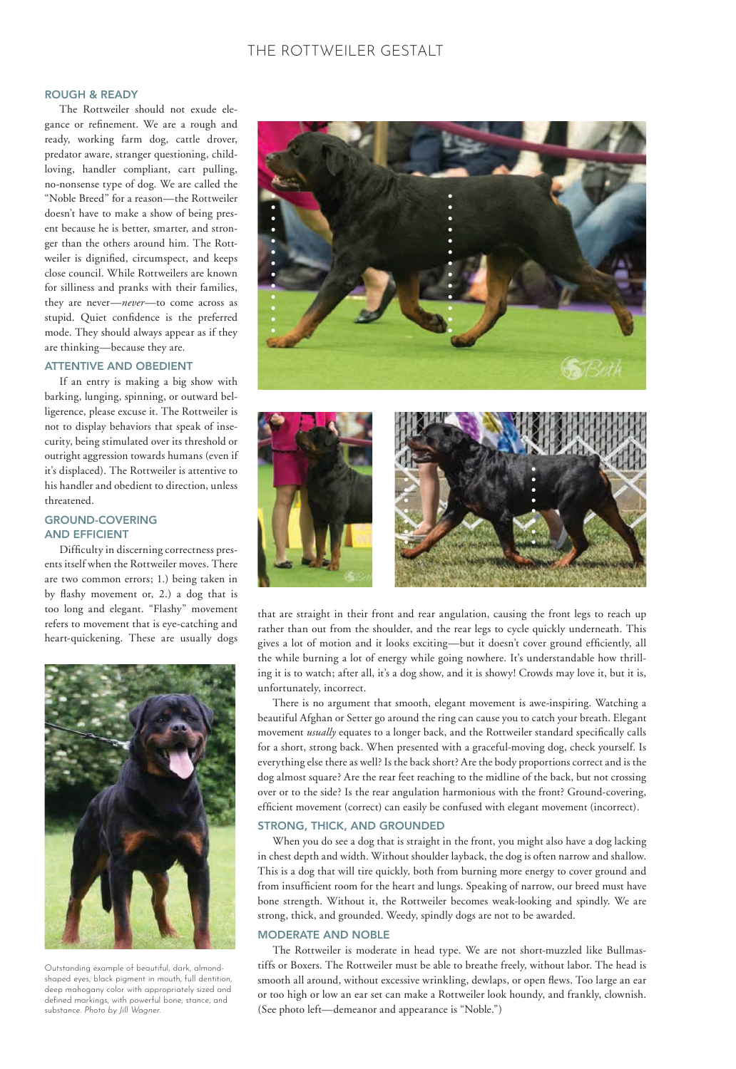# ROUGH & READY

The Rottweiler should not exude elegance or refinement. We are a rough and ready, working farm dog, cattle drover, predator aware, stranger questioning, childloving, handler compliant, cart pulling, no-nonsense type of dog. We are called the "Noble Breed" for a reason—the Rottweiler doesn't have to make a show of being present because he is better, smarter, and stronger than the others around him. The Rottweiler is dignified, circumspect, and keeps close council. While Rottweilers are known for silliness and pranks with their families, they are never—*never*—to come across as stupid. Quiet confidence is the preferred mode. They should always appear as if they are thinking—because they are.

## ATTENTIVE AND OBEDIENT

If an entry is making a big show with barking, lunging, spinning, or outward belligerence, please excuse it. The Rottweiler is not to display behaviors that speak of insecurity, being stimulated over its threshold or outright aggression towards humans (even if it's displaced). The Rottweiler is attentive to his handler and obedient to direction, unless threatened.

## GROUND-COVERING AND EFFICIENT

Difficulty in discerning correctness presents itself when the Rottweiler moves. There are two common errors; 1.) being taken in by flashy movement or, 2.) a dog that is too long and elegant. "Flashy" movement refers to movement that is eye-catching and heart-quickening. These are usually dogs



Outstanding example of beautiful, dark, almondshaped eyes, black pigment in mouth, full dentition, deep mahogany color with appropriately sized and defined markings, with powerful bone, stance, and substance. *Photo by Jill Wagner.*





that are straight in their front and rear angulation, causing the front legs to reach up rather than out from the shoulder, and the rear legs to cycle quickly underneath. This gives a lot of motion and it looks exciting—but it doesn't cover ground efficiently, all the while burning a lot of energy while going nowhere. It's understandable how thrilling it is to watch; after all, it's a dog show, and it is showy! Crowds may love it, but it is, unfortunately, incorrect.

There is no argument that smooth, elegant movement is awe-inspiring. Watching a beautiful Afghan or Setter go around the ring can cause you to catch your breath. Elegant movement *usually* equates to a longer back, and the Rottweiler standard specifically calls for a short, strong back. When presented with a graceful-moving dog, check yourself. Is everything else there as well? Is the back short? Are the body proportions correct and is the dog almost square? Are the rear feet reaching to the midline of the back, but not crossing over or to the side? Is the rear angulation harmonious with the front? Ground-covering, efficient movement (correct) can easily be confused with elegant movement (incorrect).

### STRONG, THICK, AND GROUNDED

When you do see a dog that is straight in the front, you might also have a dog lacking in chest depth and width. Without shoulder layback, the dog is often narrow and shallow. This is a dog that will tire quickly, both from burning more energy to cover ground and from insufficient room for the heart and lungs. Speaking of narrow, our breed must have bone strength. Without it, the Rottweiler becomes weak-looking and spindly. We are strong, thick, and grounded. Weedy, spindly dogs are not to be awarded.

## MODERATE AND NOBLE

The Rottweiler is moderate in head type. We are not short-muzzled like Bullmastiffs or Boxers. The Rottweiler must be able to breathe freely, without labor. The head is smooth all around, without excessive wrinkling, dewlaps, or open flews. Too large an ear or too high or low an ear set can make a Rottweiler look houndy, and frankly, clownish. (See photo left—demeanor and appearance is "Noble.")